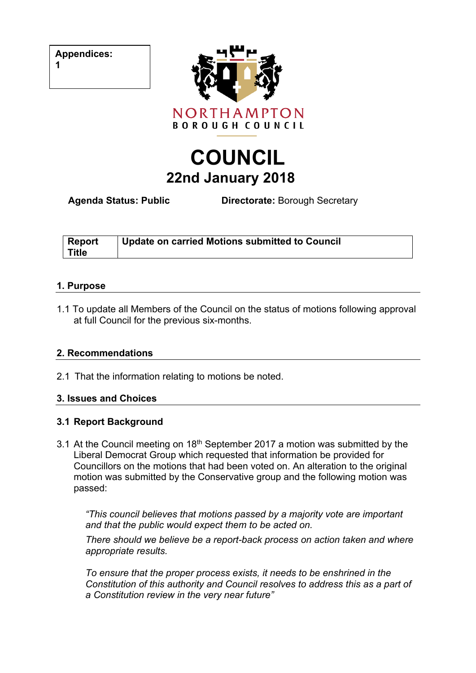**Appendices:**

**1**



# **COUNCIL 22nd January 2018**

**Agenda Status: Public Directorate:** Borough Secretary

| <b>Report</b><br><b>Title</b> | Update on carried Motions submitted to Council |
|-------------------------------|------------------------------------------------|
|                               |                                                |

#### **1. Purpose**

1.1 To update all Members of the Council on the status of motions following approval at full Council for the previous six-months.

# **2. Recommendations**

2.1 That the information relating to motions be noted.

#### **3. Issues and Choices**

# **3.1 Report Background**

3.1 At the Council meeting on  $18<sup>th</sup>$  September 2017 a motion was submitted by the Liberal Democrat Group which requested that information be provided for Councillors on the motions that had been voted on. An alteration to the original motion was submitted by the Conservative group and the following motion was passed:

*"This council believes that motions passed by a majority vote are important and that the public would expect them to be acted on.*

*There should we believe be a report-back process on action taken and where appropriate results.*

*To ensure that the proper process exists, it needs to be enshrined in the Constitution of this authority and Council resolves to address this as a part of a Constitution review in the very near future"*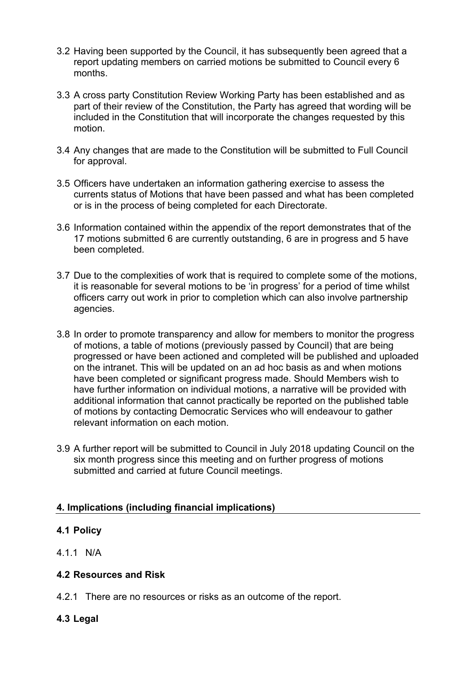- 3.2 Having been supported by the Council, it has subsequently been agreed that a report updating members on carried motions be submitted to Council every 6 months.
- 3.3 A cross party Constitution Review Working Party has been established and as part of their review of the Constitution, the Party has agreed that wording will be included in the Constitution that will incorporate the changes requested by this motion.
- 3.4 Any changes that are made to the Constitution will be submitted to Full Council for approval.
- 3.5 Officers have undertaken an information gathering exercise to assess the currents status of Motions that have been passed and what has been completed or is in the process of being completed for each Directorate.
- 3.6 Information contained within the appendix of the report demonstrates that of the 17 motions submitted 6 are currently outstanding, 6 are in progress and 5 have been completed*.*
- 3.7 Due to the complexities of work that is required to complete some of the motions, it is reasonable for several motions to be 'in progress' for a period of time whilst officers carry out work in prior to completion which can also involve partnership agencies.
- 3.8 In order to promote transparency and allow for members to monitor the progress of motions, a table of motions (previously passed by Council) that are being progressed or have been actioned and completed will be published and uploaded on the intranet. This will be updated on an ad hoc basis as and when motions have been completed or significant progress made. Should Members wish to have further information on individual motions, a narrative will be provided with additional information that cannot practically be reported on the published table of motions by contacting Democratic Services who will endeavour to gather relevant information on each motion.
- 3.9 A further report will be submitted to Council in July 2018 updating Council on the six month progress since this meeting and on further progress of motions submitted and carried at future Council meetings.

# **4. Implications (including financial implications)**

#### **4.1 Policy**

4.1.1 N/A

#### **4.2 Resources and Risk**

4.2.1 There are no resources or risks as an outcome of the report.

# **4.3 Legal**